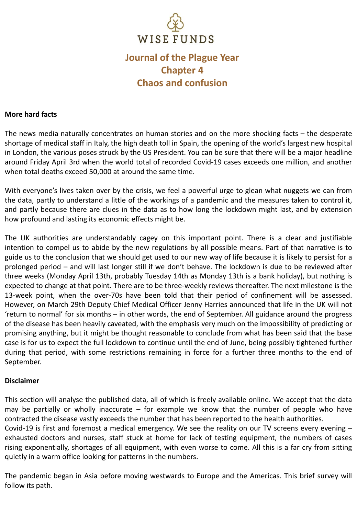

# **Journal of the Plague Year Chapter 4 Chaos and confusion**

#### **More hard facts**

The news media naturally concentrates on human stories and on the more shocking facts – the desperate shortage of medical staff in Italy, the high death toll in Spain, the opening of the world's largest new hospital in London, the various poses struck by the US President. You can be sure that there will be a major headline around Friday April 3rd when the world total of recorded Covid-19 cases exceeds one million, and another when total deaths exceed 50,000 at around the same time.

With everyone's lives taken over by the crisis, we feel a powerful urge to glean what nuggets we can from the data, partly to understand a little of the workings of a pandemic and the measures taken to control it, and partly because there are clues in the data as to how long the lockdown might last, and by extension how profound and lasting its economic effects might be.

The UK authorities are understandably cagey on this important point. There is a clear and justifiable intention to compel us to abide by the new regulations by all possible means. Part of that narrative is to guide us to the conclusion that we should get used to our new way of life because it is likely to persist for a prolonged period – and will last longer still if we don't behave. The lockdown is due to be reviewed after three weeks (Monday April 13th, probably Tuesday 14th as Monday 13th is a bank holiday), but nothing is expected to change at that point. There are to be three-weekly reviews thereafter. The next milestone is the 13-week point, when the over-70s have been told that their period of confinement will be assessed. However, on March 29th Deputy Chief Medical Officer Jenny Harries announced that life in the UK will not 'return to normal' for six months – in other words, the end of September. All guidance around the progress of the disease has been heavily caveated, with the emphasis very much on the impossibility of predicting or promising anything, but it might be thought reasonable to conclude from what has been said that the base case is for us to expect the full lockdown to continue until the end of June, being possibly tightened further during that period, with some restrictions remaining in force for a further three months to the end of September.

#### **Disclaimer**

This section will analyse the published data, all of which is freely available online. We accept that the data may be partially or wholly inaccurate – for example we know that the number of people who have contracted the disease vastly exceeds the number that has been reported to the health authorities.

Covid-19 is first and foremost a medical emergency. We see the reality on our TV screens every evening – exhausted doctors and nurses, staff stuck at home for lack of testing equipment, the numbers of cases rising exponentially, shortages of all equipment, with even worse to come. All this is a far cry from sitting quietly in a warm office looking for patterns in the numbers.

The pandemic began in Asia before moving westwards to Europe and the Americas. This brief survey will follow its path.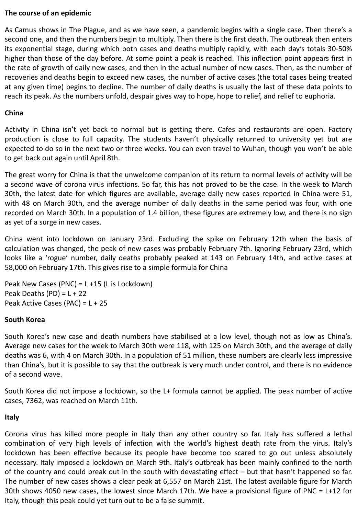## **The course of an epidemic**

As Camus shows in The Plague, and as we have seen, a pandemic begins with a single case. Then there's a second one, and then the numbers begin to multiply. Then there is the first death. The outbreak then enters its exponential stage, during which both cases and deaths multiply rapidly, with each day's totals 30-50% higher than those of the day before. At some point a peak is reached. This inflection point appears first in the rate of growth of daily new cases, and then in the actual number of new cases. Then, as the number of recoveries and deaths begin to exceed new cases, the number of active cases (the total cases being treated at any given time) begins to decline. The number of daily deaths is usually the last of these data points to reach its peak. As the numbers unfold, despair gives way to hope, hope to relief, and relief to euphoria.

## **China**

Activity in China isn't yet back to normal but is getting there. Cafes and restaurants are open. Factory production is close to full capacity. The students haven't physically returned to university yet but are expected to do so in the next two or three weeks. You can even travel to Wuhan, though you won't be able to get back out again until April 8th.

The great worry for China is that the unwelcome companion of its return to normal levels of activity will be a second wave of corona virus infections. So far, this has not proved to be the case. In the week to March 30th, the latest date for which figures are available, average daily new cases reported in China were 51, with 48 on March 30th, and the average number of daily deaths in the same period was four, with one recorded on March 30th. In a population of 1.4 billion, these figures are extremely low, and there is no sign as yet of a surge in new cases.

China went into lockdown on January 23rd. Excluding the spike on February 12th when the basis of calculation was changed, the peak of new cases was probably February 7th. Ignoring February 23rd, which looks like a 'rogue' number, daily deaths probably peaked at 143 on February 14th, and active cases at 58,000 on February 17th. This gives rise to a simple formula for China

Peak New Cases (PNC) = L +15 (L is Lockdown) Peak Deaths (PD) =  $L + 22$ Peak Active Cases (PAC) = L + 25

#### **South Korea**

South Korea's new case and death numbers have stabilised at a low level, though not as low as China's. Average new cases for the week to March 30th were 118, with 125 on March 30th, and the average of daily deaths was 6, with 4 on March 30th. In a population of 51 million, these numbers are clearly less impressive than China's, but it is possible to say that the outbreak is very much under control, and there is no evidence of a second wave.

South Korea did not impose a lockdown, so the L+ formula cannot be applied. The peak number of active cases, 7362, was reached on March 11th.

#### **Italy**

Corona virus has killed more people in Italy than any other country so far. Italy has suffered a lethal combination of very high levels of infection with the world's highest death rate from the virus. Italy's lockdown has been effective because its people have become too scared to go out unless absolutely necessary. Italy imposed a lockdown on March 9th. Italy's outbreak has been mainly confined to the north of the country and could break out in the south with devastating effect – but that hasn't happened so far. The number of new cases shows a clear peak at 6,557 on March 21st. The latest available figure for March 30th shows 4050 new cases, the lowest since March 17th. We have a provisional figure of PNC = L+12 for Italy, though this peak could yet turn out to be a false summit.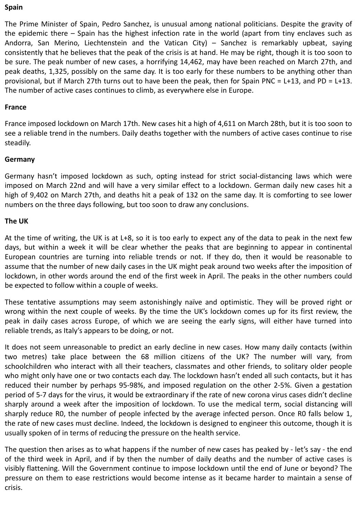#### **Spain**

The Prime Minister of Spain, Pedro Sanchez, is unusual among national politicians. Despite the gravity of the epidemic there – Spain has the highest infection rate in the world (apart from tiny enclaves such as Andorra, San Merino, Liechtenstein and the Vatican City) – Sanchez is remarkably upbeat, saying consistently that he believes that the peak of the crisis is at hand. He may be right, though it is too soon to be sure. The peak number of new cases, a horrifying 14,462, may have been reached on March 27th, and peak deaths, 1,325, possibly on the same day. It is too early for these numbers to be anything other than provisional, but if March 27th turns out to have been the peak, then for Spain PNC = L+13, and PD = L+13. The number of active cases continues to climb, as everywhere else in Europe.

#### **France**

France imposed lockdown on March 17th. New cases hit a high of 4,611 on March 28th, but it is too soon to see a reliable trend in the numbers. Daily deaths together with the numbers of active cases continue to rise steadily.

## **Germany**

Germany hasn't imposed lockdown as such, opting instead for strict social-distancing laws which were imposed on March 22nd and will have a very similar effect to a lockdown. German daily new cases hit a high of 9,402 on March 27th, and deaths hit a peak of 132 on the same day. It is comforting to see lower numbers on the three days following, but too soon to draw any conclusions.

#### **The UK**

At the time of writing, the UK is at L+8, so it is too early to expect any of the data to peak in the next few days, but within a week it will be clear whether the peaks that are beginning to appear in continental European countries are turning into reliable trends or not. If they do, then it would be reasonable to assume that the number of new daily cases in the UK might peak around two weeks after the imposition of lockdown, in other words around the end of the first week in April. The peaks in the other numbers could be expected to follow within a couple of weeks.

These tentative assumptions may seem astonishingly naïve and optimistic. They will be proved right or wrong within the next couple of weeks. By the time the UK's lockdown comes up for its first review, the peak in daily cases across Europe, of which we are seeing the early signs, will either have turned into reliable trends, as Italy's appears to be doing, or not.

It does not seem unreasonable to predict an early decline in new cases. How many daily contacts (within two metres) take place between the 68 million citizens of the UK? The number will vary, from schoolchildren who interact with all their teachers, classmates and other friends, to solitary older people who might only have one or two contacts each day. The lockdown hasn't ended all such contacts, but it has reduced their number by perhaps 95-98%, and imposed regulation on the other 2-5%. Given a gestation period of 5-7 days for the virus, it would be extraordinary if the rate of new corona virus cases didn't decline sharply around a week after the imposition of lockdown. To use the medical term, social distancing will sharply reduce R0, the number of people infected by the average infected person. Once R0 falls below 1, the rate of new cases must decline. Indeed, the lockdown is designed to engineer this outcome, though it is usually spoken of in terms of reducing the pressure on the health service.

The question then arises as to what happens if the number of new cases has peaked by - let's say - the end of the third week in April, and if by then the number of daily deaths and the number of active cases is visibly flattening. Will the Government continue to impose lockdown until the end of June or beyond? The pressure on them to ease restrictions would become intense as it became harder to maintain a sense of crisis.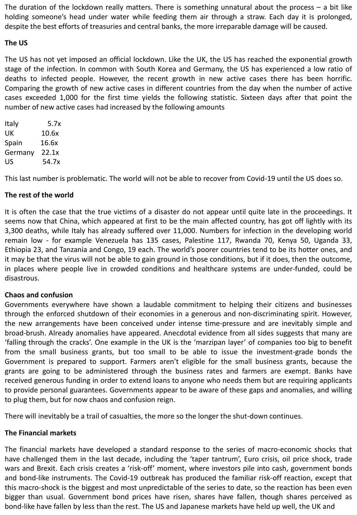The duration of the lockdown really matters. There is something unnatural about the process – a bit like holding someone's head under water while feeding them air through a straw. Each day it is prolonged, despite the best efforts of treasuries and central banks, the more irreparable damage will be caused.

## **The US**

The US has not yet imposed an official lockdown. Like the UK, the US has reached the exponential growth stage of the infection. In common with South Korea and Germany, the US has experienced a low ratio of deaths to infected people. However, the recent growth in new active cases there has been horrific. Comparing the growth of new active cases in different countries from the day when the number of active cases exceeded 1,000 for the first time yields the following statistic. Sixteen days after that point the number of new active cases had increased by the following amounts

| Italy   | 5.7x  |
|---------|-------|
| UK      | 10.6x |
| Spain   | 16.6x |
| Germany | 22.1x |
| US      | 54.7x |

This last number is problematic. The world will not be able to recover from Covid-19 until the US does so.

## **The rest of the world**

It is often the case that the true victims of a disaster do not appear until quite late in the proceedings. It seems now that China, which appeared at first to be the main affected country, has got off lightly with its 3,300 deaths, while Italy has already suffered over 11,000. Numbers for infection in the developing world remain low - for example Venezuela has 135 cases, Palestine 117, Rwanda 70, Kenya 50, Uganda 33, Ethiopia 23, and Tanzania and Congo, 19 each. The world's poorer countries tend to be its hotter ones, and it may be that the virus will not be able to gain ground in those conditions, but if it does, then the outcome, in places where people live in crowded conditions and healthcare systems are under-funded, could be disastrous.

## **Chaos and confusion**

Governments everywhere have shown a laudable commitment to helping their citizens and businesses through the enforced shutdown of their economies in a generous and non-discriminating spirit. However, the new arrangements have been conceived under intense time-pressure and are inevitably simple and broad-brush. Already anomalies have appeared. Anecdotal evidence from all sides suggests that many are 'falling through the cracks'. One example in the UK is the 'marzipan layer' of companies too big to benefit from the small business grants, but too small to be able to issue the investment-grade bonds the Government is prepared to support. Farmers aren't eligible for the small business grants, because the grants are going to be administered through the business rates and farmers are exempt. Banks have received generous funding in order to extend loans to anyone who needs them but are requiring applicants to provide personal guarantees. Governments appear to be aware of these gaps and anomalies, and willing to plug them, but for now chaos and confusion reign.

There will inevitably be a trail of casualties, the more so the longer the shut-down continues.

## **The Financial markets**

The financial markets have developed a standard response to the series of macro-economic shocks that have challenged them in the last decade, including the 'taper tantrum', Euro crisis, oil price shock, trade wars and Brexit. Each crisis creates a 'risk-off' moment, where investors pile into cash, government bonds and bond-like instruments. The Covid-19 outbreak has produced the familiar risk-off reaction, except that this macro-shock is the biggest and most unpredictable of the series to date, so the reaction has been even bigger than usual. Government bond prices have risen, shares have fallen, though shares perceived as bond-like have fallen by less than the rest. The US and Japanese markets have held up well, the UK and